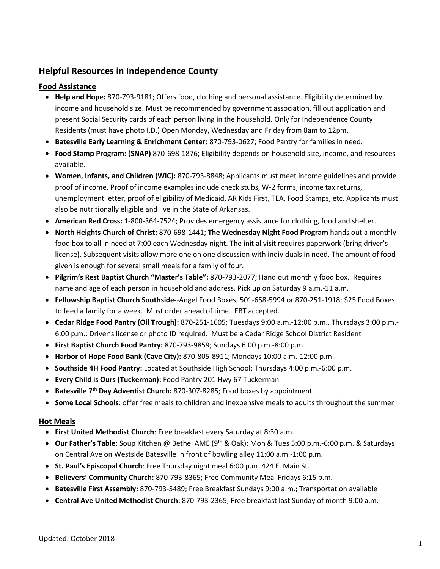# **Helpful Resources in Independence County**

# **Food Assistance**

- **Help and Hope:** 870-793-9181; Offers food, clothing and personal assistance. Eligibility determined by income and household size. Must be recommended by government association, fill out application and present Social Security cards of each person living in the household. Only for Independence County Residents (must have photo I.D.) Open Monday, Wednesday and Friday from 8am to 12pm.
- **Batesville Early Learning & Enrichment Center:** 870-793-0627; Food Pantry for families in need.
- **Food Stamp Program: (SNAP)** 870-698-1876; Eligibility depends on household size, income, and resources available.
- **Women, Infants, and Children (WIC):** 870-793-8848; Applicants must meet income guidelines and provide proof of income. Proof of income examples include check stubs, W-2 forms, income tax returns, unemployment letter, proof of eligibility of Medicaid, AR Kids First, TEA, Food Stamps, etc. Applicants must also be nutritionally eligible and live in the State of Arkansas.
- **American Red Cross:** 1-800-364-7524; Provides emergency assistance for clothing, food and shelter.
- **North Heights Church of Christ:** 870-698-1441; **The Wednesday Night Food Program** hands out a monthly food box to all in need at 7:00 each Wednesday night. The initial visit requires paperwork (bring driver's license). Subsequent visits allow more one on one discussion with individuals in need. The amount of food given is enough for several small meals for a family of four.
- **Pilgrim's Rest Baptist Church "Master's Table":** 870-793-2077; Hand out monthly food box. Requires name and age of each person in household and address. Pick up on Saturday 9 a.m.-11 a.m.
- **Fellowship Baptist Church Southside-**-Angel Food Boxes; 501-658-5994 or 870-251-1918; \$25 Food Boxes to feed a family for a week. Must order ahead of time. EBT accepted.
- **Cedar Ridge Food Pantry (Oil Trough):** 870-251-1605; Tuesdays 9:00 a.m.-12:00 p.m., Thursdays 3:00 p.m.- 6:00 p.m.; Driver's license or photo ID required. Must be a Cedar Ridge School District Resident
- **First Baptist Church Food Pantry:** 870-793-9859; Sundays 6:00 p.m.-8:00 p.m.
- **Harbor of Hope Food Bank (Cave City):** 870-805-8911; Mondays 10:00 a.m.-12:00 p.m.
- **Southside 4H Food Pantry:** Located at Southside High School; Thursdays 4:00 p.m.-6:00 p.m.
- **Every Child is Ours (Tuckerman):** Food Pantry 201 Hwy 67 Tuckerman
- **Batesville 7th Day Adventist Church:** 870-307-8285; Food boxes by appointment
- **Some Local Schools**: offer free meals to children and inexpensive meals to adults throughout the summer

## **Hot Meals**

- **First United Methodist Church**: Free breakfast every Saturday at 8:30 a.m.
- **Our Father's Table**: Soup Kitchen @ Bethel AME (9th & Oak); Mon & Tues 5:00 p.m.-6:00 p.m. & Saturdays on Central Ave on Westside Batesville in front of bowling alley 11:00 a.m.-1:00 p.m.
- **St. Paul's Episcopal Church**: Free Thursday night meal 6:00 p.m. 424 E. Main St.
- **Believers' Community Church:** 870-793-8365; Free Community Meal Fridays 6:15 p.m.
- **Batesville First Assembly:** 870-793-5489; Free Breakfast Sundays 9:00 a.m.; Transportation available
- **Central Ave United Methodist Church:** 870-793-2365; Free breakfast last Sunday of month 9:00 a.m.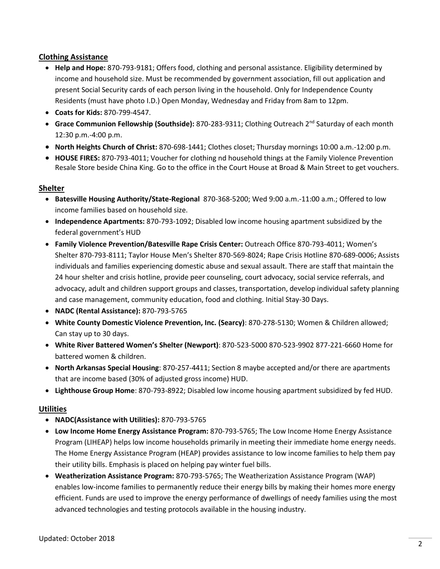# **Clothing Assistance**

- **Help and Hope:** 870-793-9181; Offers food, clothing and personal assistance. Eligibility determined by income and household size. Must be recommended by government association, fill out application and present Social Security cards of each person living in the household. Only for Independence County Residents (must have photo I.D.) Open Monday, Wednesday and Friday from 8am to 12pm.
- **Coats for Kids:** 870-799-4547.
- **Grace Communion Fellowship (Southside):** 870-283-9311; Clothing Outreach 2<sup>nd</sup> Saturday of each month 12:30 p.m.-4:00 p.m.
- **North Heights Church of Christ:** 870-698-1441; Clothes closet; Thursday mornings 10:00 a.m.-12:00 p.m.
- **HOUSE FIRES:** 870-793-4011; Voucher for clothing nd household things at the Family Violence Prevention Resale Store beside China King. Go to the office in the Court House at Broad & Main Street to get vouchers.

#### **Shelter**

- **Batesville Housing Authority/State-Regional** 870-368-5200; Wed 9:00 a.m.-11:00 a.m.; Offered to low income families based on household size.
- **Independence Apartments:** 870-793-1092; Disabled low income housing apartment subsidized by the federal government's HUD
- **Family Violence Prevention/Batesville Rape Crisis Center:** Outreach Office 870-793-4011; Women's Shelter 870-793-8111; Taylor House Men's Shelter 870-569-8024; Rape Crisis Hotline 870-689-0006; Assists individuals and families experiencing domestic abuse and sexual assault. There are staff that maintain the 24 hour shelter and crisis hotline, provide peer counseling, court advocacy, social service referrals, and advocacy, adult and children support groups and classes, transportation, develop individual safety planning and case management, community education, food and clothing. Initial Stay-30 Days.
- **NADC (Rental Assistance):** 870-793-5765
- **White County Domestic Violence Prevention, Inc. (Searcy)**: 870-278-5130; Women & Children allowed; Can stay up to 30 days.
- **White River Battered Women's Shelter (Newport)**: 870-523-5000 870-523-9902 877-221-6660 Home for battered women & children.
- **North Arkansas Special Housing**: 870-257-4411; Section 8 maybe accepted and/or there are apartments that are income based (30% of adjusted gross income) HUD.
- **Lighthouse Group Home**: 870-793-8922; Disabled low income housing apartment subsidized by fed HUD.

## **Utilities**

- **NADC(Assistance with Utilities):** 870-793-5765
- **Low Income Home Energy Assistance Program:** 870-793-5765; The Low Income Home Energy Assistance Program (LIHEAP) helps low income households primarily in meeting their immediate home energy needs. The Home Energy Assistance Program (HEAP) provides assistance to low income families to help them pay their utility bills. Emphasis is placed on helping pay winter fuel bills.
- **Weatherization Assistance Program:** 870-793-5765; The Weatherization Assistance Program (WAP) enables low-income families to permanently reduce their energy bills by making their homes more energy efficient. Funds are used to improve the energy performance of dwellings of needy families using the most advanced technologies and testing protocols available in the housing industry.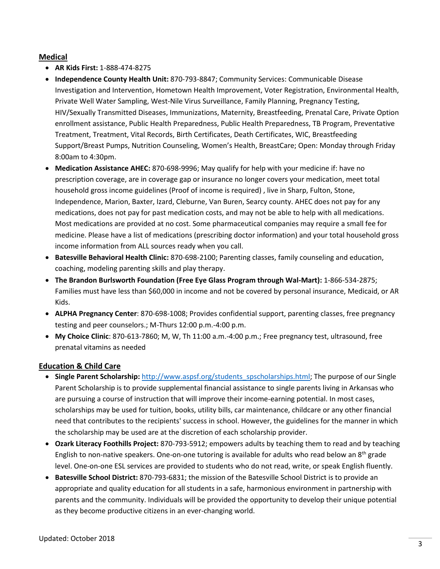## **Medical**

- **AR Kids First:** 1-888-474-8275
- **Independence County Health Unit:** 870-793-8847; Community Services: Communicable Disease Investigation and Intervention, Hometown Health Improvement, Voter Registration, Environmental Health, Private Well Water Sampling, West-Nile Virus Surveillance, Family Planning, Pregnancy Testing, HIV/Sexually Transmitted Diseases, Immunizations, Maternity, Breastfeeding, Prenatal Care, Private Option enrollment assistance, Public Health Preparedness, Public Health Preparedness, TB Program, Preventative Treatment, Treatment, Vital Records, Birth Certificates, Death Certificates, WIC, Breastfeeding Support/Breast Pumps, Nutrition Counseling, Women's Health, BreastCare; Open: Monday through Friday 8:00am to 4:30pm.
- **Medication Assistance AHEC:** 870-698-9996; May qualify for help with your medicine if: have no prescription coverage, are in coverage gap or insurance no longer covers your medication, meet total household gross income guidelines (Proof of income is required) , live in Sharp, Fulton, Stone, Independence, Marion, Baxter, Izard, Cleburne, Van Buren, Searcy county. AHEC does not pay for any medications, does not pay for past medication costs, and may not be able to help with all medications. Most medications are provided at no cost. Some pharmaceutical companies may require a small fee for medicine. Please have a list of medications (prescribing doctor information) and your total household gross income information from ALL sources ready when you call.
- **Batesville Behavioral Health Clinic:** 870-698-2100; Parenting classes, family counseling and education, coaching, modeling parenting skills and play therapy.
- **The Brandon Burlsworth Foundation (Free Eye Glass Program through Wal-Mart):** 1-866-534-2875; Families must have less than \$60,000 in income and not be covered by personal insurance, Medicaid, or AR Kids.
- **ALPHA Pregnancy Center**: 870-698-1008; Provides confidential support, parenting classes, free pregnancy testing and peer counselors.; M-Thurs 12:00 p.m.-4:00 p.m.
- **My Choice Clinic**: 870-613-7860; M, W, Th 11:00 a.m.-4:00 p.m.; Free pregnancy test, ultrasound, free prenatal vitamins as needed

## **Education & Child Care**

- **Single Parent Scholarship:** [http://www.aspsf.org/students\\_spscholarships.html;](http://www.aspsf.org/students_spscholarships.html) The purpose of our Single Parent Scholarship is to provide supplemental financial assistance to single parents living in Arkansas who are pursuing a course of instruction that will improve their income-earning potential. In most cases, scholarships may be used for tuition, books, utility bills, car maintenance, childcare or any other financial need that contributes to the recipients' success in school. However, the guidelines for the manner in which the scholarship may be used are at the discretion of each scholarship provider.
- **Ozark Literacy Foothills Project:** 870-793-5912; empowers adults by teaching them to read and by teaching English to non-native speakers. One-on-one tutoring is available for adults who read below an  $8<sup>th</sup>$  grade level. One-on-one ESL services are provided to students who do not read, write, or speak English fluently.
- **Batesville School District:** 870-793-6831; the mission of the Batesville School District is to provide an appropriate and quality education for all students in a safe, harmonious environment in partnership with parents and the community. Individuals will be provided the opportunity to develop their unique potential as they become productive citizens in an ever-changing world.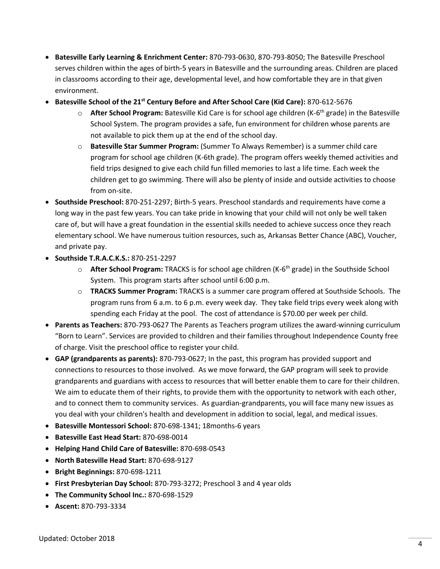- **Batesville Early Learning & Enrichment Center:** 870-793-0630, 870-793-8050; The Batesville Preschool serves children within the ages of birth-5 years in Batesville and the surrounding areas. Children are placed in classrooms according to their age, developmental level, and how comfortable they are in that given environment.
- **Batesville School of the 21st Century Before and After School Care (Kid Care):** 870-612-5676
	- o **After School Program:** Batesville Kid Care is for school age children (K-6 th grade) in the Batesville School System. The program provides a safe, fun environment for children whose parents are not available to pick them up at the end of the school day.
	- o **Batesville Star Summer Program:** (Summer To Always Remember) is a summer child care program for school age children (K-6th grade). The program offers weekly themed activities and field trips designed to give each child fun filled memories to last a life time. Each week the children get to go swimming. There will also be plenty of inside and outside activities to choose from on-site.
- **Southside Preschool:** 870-251-2297; Birth-5 years. Preschool standards and requirements have come a long way in the past few years. You can take pride in knowing that your child will not only be well taken care of, but will have a great foundation in the essential skills needed to achieve success once they reach elementary school. We have numerous tuition resources, such as, Arkansas Better Chance (ABC), Voucher, and private pay.
- **Southside T.R.A.C.K.S.:** 870-251-2297
	- o **After School Program:** TRACKS is for school age children (K-6 th grade) in the Southside School System. This program starts after school until 6:00 p.m.
	- o **TRACKS Summer Program:** TRACKS is a summer care program offered at Southside Schools. The program runs from 6 a.m. to 6 p.m. every week day. They take field trips every week along with spending each Friday at the pool. The cost of attendance is \$70.00 per week per child.
- **Parents as Teachers:** 870-793-0627 The Parents as Teachers program utilizes the award-winning curriculum "Born to Learn". Services are provided to children and their families throughout Independence County free of charge. Visit the preschool office to register your child.
- **GAP (grandparents as parents):** 870-793-0627; In the past, this program has provided support and connections to resources to those involved. As we move forward, the GAP program will seek to provide grandparents and guardians with access to resources that will better enable them to care for their children. We aim to educate them of their rights, to provide them with the opportunity to network with each other, and to connect them to community services. As guardian-grandparents, you will face many new issues as you deal with your children's health and development in addition to social, legal, and medical issues.
- **Batesville Montessori School:** 870-698-1341; 18months-6 years
- **Batesville East Head Start:** 870-698-0014
- **Helping Hand Child Care of Batesville:** 870-698-0543
- **North Batesville Head Start:** 870-698-9127
- **Bright Beginnings:** 870-698-1211
- **First Presbyterian Day School:** 870-793-3272; Preschool 3 and 4 year olds
- **The Community School Inc.:** 870-698-1529
- **Ascent:** 870-793-3334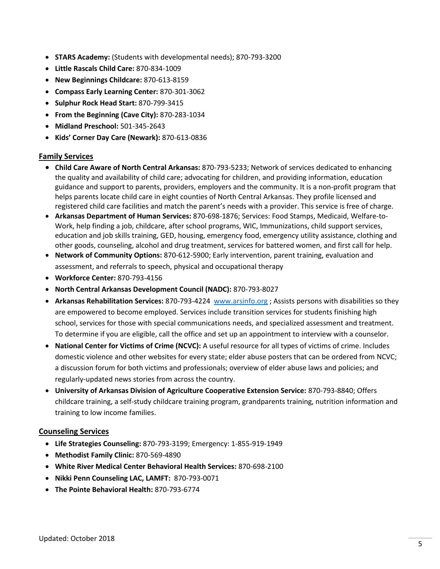- **STARS Academy:** (Students with developmental needs); 870-793-3200
- **Little Rascals Child Care:** 870-834-1009
- **New Beginnings Childcare:** 870-613-8159
- **Compass Early Learning Center:** 870-301-3062
- **Sulphur Rock Head Start:** 870-799-3415
- **From the Beginning (Cave City):** 870-283-1034
- **Midland Preschool:** 501-345-2643
- **Kids' Corner Day Care (Newark):** 870-613-0836

#### **Family Services**

- **Child Care Aware of North Central Arkansas:** 870-793-5233; Network of services dedicated to enhancing the quality and availability of child care; advocating for children, and providing information, education guidance and support to parents, providers, employers and the community. It is a non-profit program that helps parents locate child care in eight counties of North Central Arkansas. They profile licensed and registered child care facilities and match the parent's needs with a provider. This service is free of charge.
- **Arkansas Department of Human Services:** 870-698-1876; Services: Food Stamps, Medicaid, Welfare-to-Work, help finding a job, childcare, after school programs, WIC, Immunizations, child support services, education and job skills training, GED, housing, emergency food, emergency utility assistance, clothing and other goods, counseling, alcohol and drug treatment, services for battered women, and first call for help.
- **Network of Community Options:** 870-612-5900; Early intervention, parent training, evaluation and assessment, and referrals to speech, physical and occupational therapy
- **Workforce Center:** 870-793-4156
- **North Central Arkansas Development Council (NADC):** 870-793-8027
- **Arkansas Rehabilitation Services:** 870-793-4224 [www.arsinfo.org](http://www.arsinfo.org/) ; Assists persons with disabilities so they are empowered to become employed. Services include transition services for students finishing high school, services for those with special communications needs, and specialized assessment and treatment. To determine if you are eligible, call the office and set up an appointment to interview with a counselor.
- **National Center for Victims of Crime (NCVC):** A useful resource for all types of victims of crime. Includes domestic violence and other websites for every state; elder abuse posters that can be ordered from NCVC; a discussion forum for both victims and professionals; overview of elder abuse laws and policies; and regularly-updated news stories from across the country.
- **University of Arkansas Division of Agriculture Cooperative Extension Service:** 870-793-8840; Offers childcare training, a self-study childcare training program, grandparents training, nutrition information and training to low income families.

#### **Counseling Services**

- **Life Strategies Counseling:** 870-793-3199; Emergency: 1-855-919-1949
- **Methodist Family Clinic:** 870-569-4890
- **White River Medical Center Behavioral Health Services:** 870-698-2100
- **Nikki Penn Counseling LAC, LAMFT:** 870-793-0071
- **The Pointe Behavioral Health:** 870-793-6774